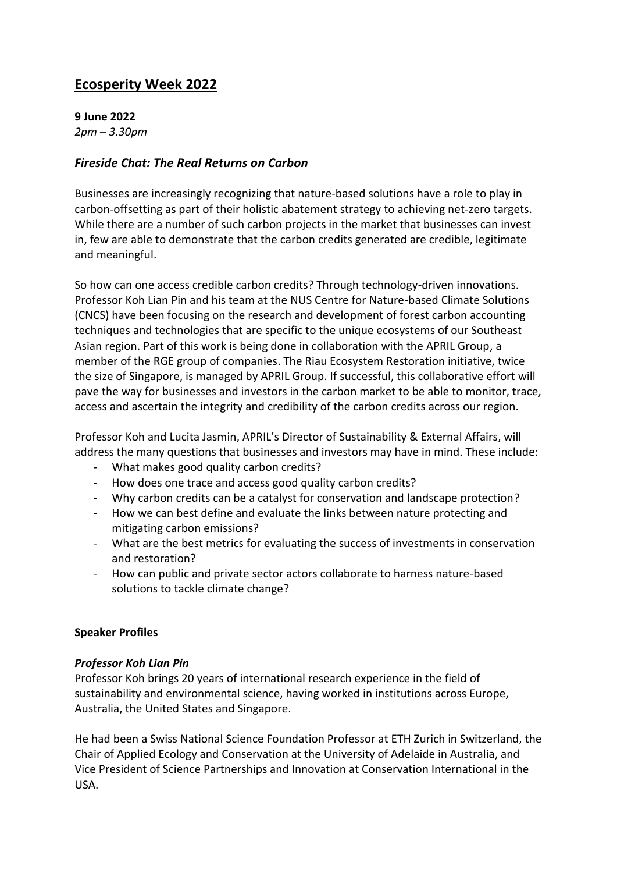# **Ecosperity Week 2022**

**9 June 2022** *2pm – 3.30pm*

## *Fireside Chat: The Real Returns on Carbon*

Businesses are increasingly recognizing that nature-based solutions have a role to play in carbon-offsetting as part of their holistic abatement strategy to achieving net-zero targets. While there are a number of such carbon projects in the market that businesses can invest in, few are able to demonstrate that the carbon credits generated are credible, legitimate and meaningful.

So how can one access credible carbon credits? Through technology-driven innovations. Professor Koh Lian Pin and his team at the NUS Centre for Nature-based Climate Solutions (CNCS) have been focusing on the research and development of forest carbon accounting techniques and technologies that are specific to the unique ecosystems of our Southeast Asian region. Part of this work is being done in collaboration with the APRIL Group, a member of the RGE group of companies. The Riau Ecosystem Restoration initiative, twice the size of Singapore, is managed by APRIL Group. If successful, this collaborative effort will pave the way for businesses and investors in the carbon market to be able to monitor, trace, access and ascertain the integrity and credibility of the carbon credits across our region.

Professor Koh and Lucita Jasmin, APRIL's Director of Sustainability & External Affairs, will address the many questions that businesses and investors may have in mind. These include:

- What makes good quality carbon credits?
- How does one trace and access good quality carbon credits?
- Why carbon credits can be a catalyst for conservation and landscape protection?
- How we can best define and evaluate the links between nature protecting and mitigating carbon emissions?
- What are the best metrics for evaluating the success of investments in conservation and restoration?
- How can public and private sector actors collaborate to harness nature-based solutions to tackle climate change?

### **Speaker Profiles**

### *Professor Koh Lian Pin*

Professor Koh brings 20 years of international research experience in the field of sustainability and environmental science, having worked in institutions across Europe, Australia, the United States and Singapore.

He had been a Swiss National Science Foundation Professor at ETH Zurich in Switzerland, the Chair of Applied Ecology and Conservation at the University of Adelaide in Australia, and Vice President of Science Partnerships and Innovation at Conservation International in the USA.